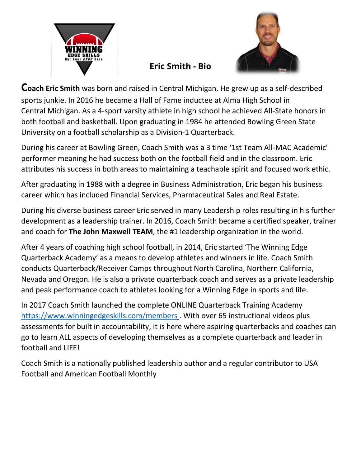



## **Eric Smith - Bio**

**Coach Eric Smith** was born and raised in Central Michigan. He grew up as a self-described sports junkie. In 2016 he became a Hall of Fame inductee at Alma High School in Central Michigan. As a 4-sport varsity athlete in high school he achieved All-State honors in both football and basketball. Upon graduating in 1984 he attended Bowling Green State University on a football scholarship as a Division-1 Quarterback.

During his career at Bowling Green, Coach Smith was a 3 time '1st Team All-MAC Academic' performer meaning he had success both on the football field and in the classroom. Eric attributes his success in both areas to maintaining a teachable spirit and focused work ethic.

After graduating in 1988 with a degree in Business Administration, Eric began his business career which has included Financial Services, Pharmaceutical Sales and Real Estate.

During his diverse business career Eric served in many Leadership roles resulting in his further development as a leadership trainer. In 2016, Coach Smith became a certified speaker, trainer and coach for **The John Maxwell TEAM**, the #1 leadership organization in the world.

After 4 years of coaching high school football, in 2014, Eric started 'The Winning Edge Quarterback Academy' as a means to develop athletes and winners in life. Coach Smith conducts Quarterback/Receiver Camps throughout North Carolina, Northern California, Nevada and Oregon. He is also a private quarterback coach and serves as a private leadership and peak performance coach to athletes looking for a Winning Edge in sports and life.

In 2017 Coach Smith launched the complete ONLINE Quarterback Training Academy <https://www.winningedgeskills.com/members> . With over 65 instructional videos plus assessments for built in accountability, it is here where aspiring quarterbacks and coaches can go to learn ALL aspects of developing themselves as a complete quarterback and leader in football and LIFE!

Coach Smith is a nationally published leadership author and a regular contributor to USA Football and American Football Monthly